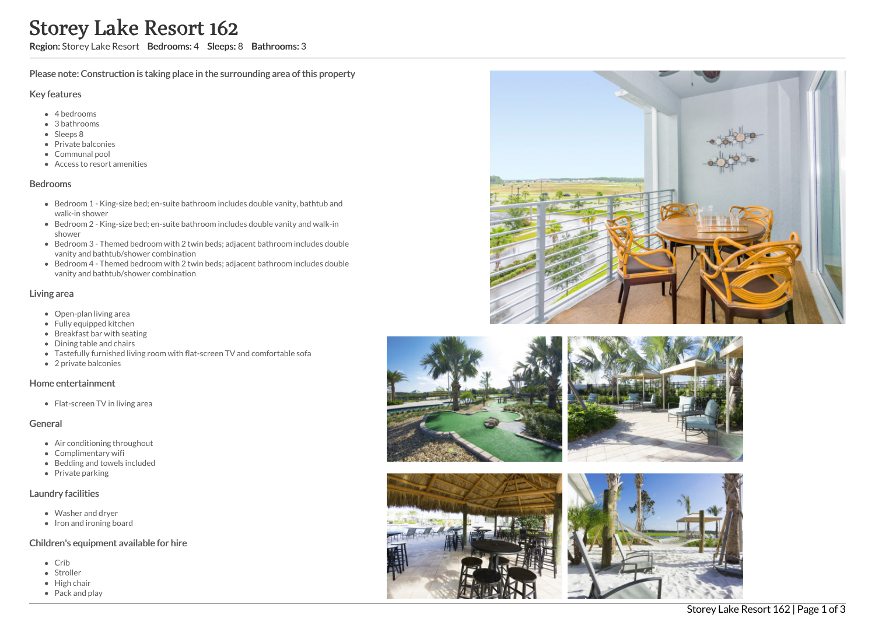# Storey Lake Resort 162

Region: Storey Lake Resort Bedrooms: 4 Sleeps: 8 Bathrooms: 3

Please note: Construction is taking place in the surrounding area of this property

#### Key features

- 4 bedrooms
- 3 bathrooms
- Sleeps 8
- Private balconies
- Communal pool
- Access to resort amenities

#### Bedrooms

- Bedroom 1 King-size bed; en-suite bathroom includes double vanity, bathtub and walk-in shower
- Bedroom 2 King-size bed; en-suite bathroom includes double vanity and walk-in shower
- Bedroom 3 Themed bedroom with 2 twin beds; adjacent bathroom includes double vanity and bathtub/shower combination
- Bedroom 4 Themed bedroom with 2 twin beds; adjacent bathroom includes double vanity and bathtub/shower combination

## Living area

- Open-plan living area
- Fully equipped kitchen
- Breakfast bar with seating
- Dining table and chairs
- Tastefully furnished living room with flat-screen TV and comfortable sofa
- 2 private balconies

#### Home entertainment

Flat-screen TV in living area

## General

- Air conditioning throughout
- Complimentary wifi
- Bedding and towels included
- Private parking

## Laundry facilities

- Washer and dryer
- Iron and ironing board

## Children's equipment available for hire

- Crib
- Stroller
- High chair
- Pack and play









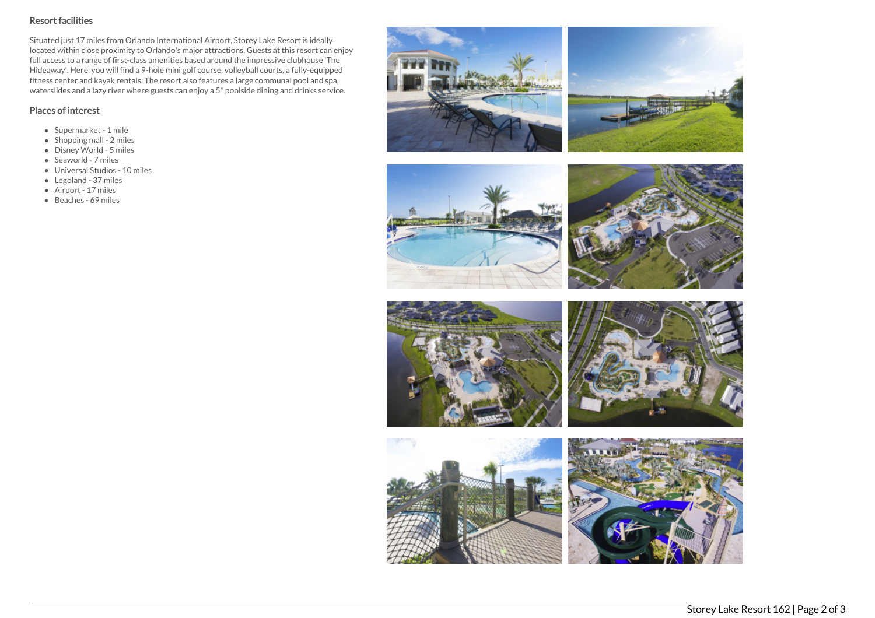# Resort facilities

Situated just 17 miles from Orlando International Airport, Storey Lake Resort is ideally located within close proximity to Orlando's major attractions. Guests at this resort can enjoy full access to a range of first-class amenities based around the impressive clubhouse 'The Hideaway'. Here, you will find a 9-hole mini golf course, volleyball courts, a fully-equipped fitness center and kayak rentals. The resort also features a large communal pool and spa, waterslides and a lazy river where guests can enjoy a 5\* poolside dining and drinks service.

# Places of interest

- Supermarket 1 mile
- $\bullet$  Shopping mall 2 miles
- Disney World 5 miles
- Seaworld 7 miles
- Universal Studios 10 miles
- Legoland 37 miles
- Airport 17 miles
- Beaches 69 miles